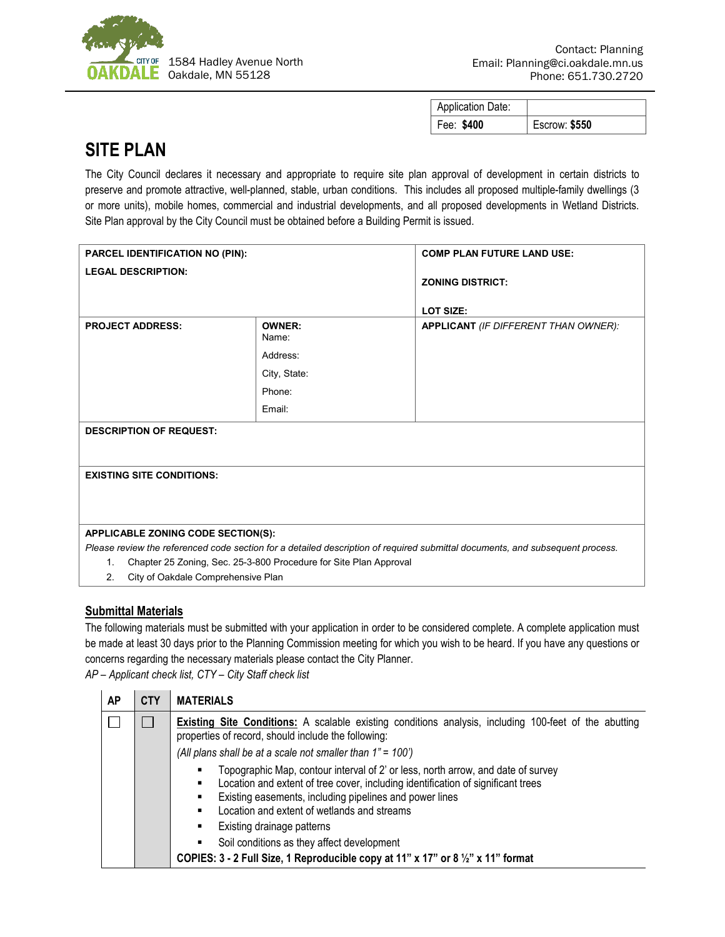

| <b>Application Date:</b> |               |
|--------------------------|---------------|
| Fee: \$400               | Escrow: \$550 |

## **SITE PLAN**

The City Council declares it necessary and appropriate to require site plan approval of development in certain districts to preserve and promote attractive, well-planned, stable, urban conditions. This includes all proposed multiple-family dwellings (3 or more units), mobile homes, commercial and industrial developments, and all proposed developments in Wetland Districts. Site Plan approval by the City Council must be obtained before a Building Permit is issued.

| <b>PARCEL IDENTIFICATION NO (PIN):</b>                                              |                 | <b>COMP PLAN FUTURE LAND USE:</b>                                                                                             |  |  |
|-------------------------------------------------------------------------------------|-----------------|-------------------------------------------------------------------------------------------------------------------------------|--|--|
| <b>LEGAL DESCRIPTION:</b>                                                           |                 | <b>ZONING DISTRICT:</b><br>LOT SIZE:                                                                                          |  |  |
| <b>PROJECT ADDRESS:</b>                                                             | OWNER:<br>Name: | <b>APPLICANT</b> (IF DIFFERENT THAN OWNER):                                                                                   |  |  |
|                                                                                     | Address:        |                                                                                                                               |  |  |
|                                                                                     | City, State:    |                                                                                                                               |  |  |
|                                                                                     | Phone:          |                                                                                                                               |  |  |
|                                                                                     | Email:          |                                                                                                                               |  |  |
| <b>DESCRIPTION OF REQUEST:</b>                                                      |                 |                                                                                                                               |  |  |
| <b>EXISTING SITE CONDITIONS:</b>                                                    |                 |                                                                                                                               |  |  |
|                                                                                     |                 |                                                                                                                               |  |  |
|                                                                                     |                 |                                                                                                                               |  |  |
| APPLICABLE ZONING CODE SECTION(S):                                                  |                 |                                                                                                                               |  |  |
|                                                                                     |                 | Please review the referenced code section for a detailed description of required submittal documents, and subsequent process. |  |  |
| Chapter 25 Zoning, Sec. 25-3-800 Procedure for Site Plan Approval<br>$\mathbf{1}$ . |                 |                                                                                                                               |  |  |
| City of Oakdale Comprehensive Plan<br>2.                                            |                 |                                                                                                                               |  |  |

## **Submittal Materials**

The following materials must be submitted with your application in order to be considered complete. A complete application must be made at least 30 days prior to the Planning Commission meeting for which you wish to be heard. If you have any questions or concerns regarding the necessary materials please contact the City Planner.

*AP – Applicant check list, CTY – City Staff check list*

| AP | <b>CTY</b> | <b>MATERIALS</b>                                                                                                                                                                                                                                                                         |
|----|------------|------------------------------------------------------------------------------------------------------------------------------------------------------------------------------------------------------------------------------------------------------------------------------------------|
|    |            | <b>Existing Site Conditions:</b> A scalable existing conditions analysis, including 100-feet of the abutting<br>properties of record, should include the following:<br>(All plans shall be at a scale not smaller than $1" = 100'$ )                                                     |
|    |            | Topographic Map, contour interval of 2' or less, north arrow, and date of survey<br>Location and extent of tree cover, including identification of significant trees<br>٠<br>Existing easements, including pipelines and power lines<br>Location and extent of wetlands and streams<br>٠ |
|    |            | Existing drainage patterns<br>٠                                                                                                                                                                                                                                                          |
|    |            | Soil conditions as they affect development<br>٠                                                                                                                                                                                                                                          |
|    |            | COPIES: 3 - 2 Full Size, 1 Reproducible copy at 11" x 17" or 8 1/2" x 11" format                                                                                                                                                                                                         |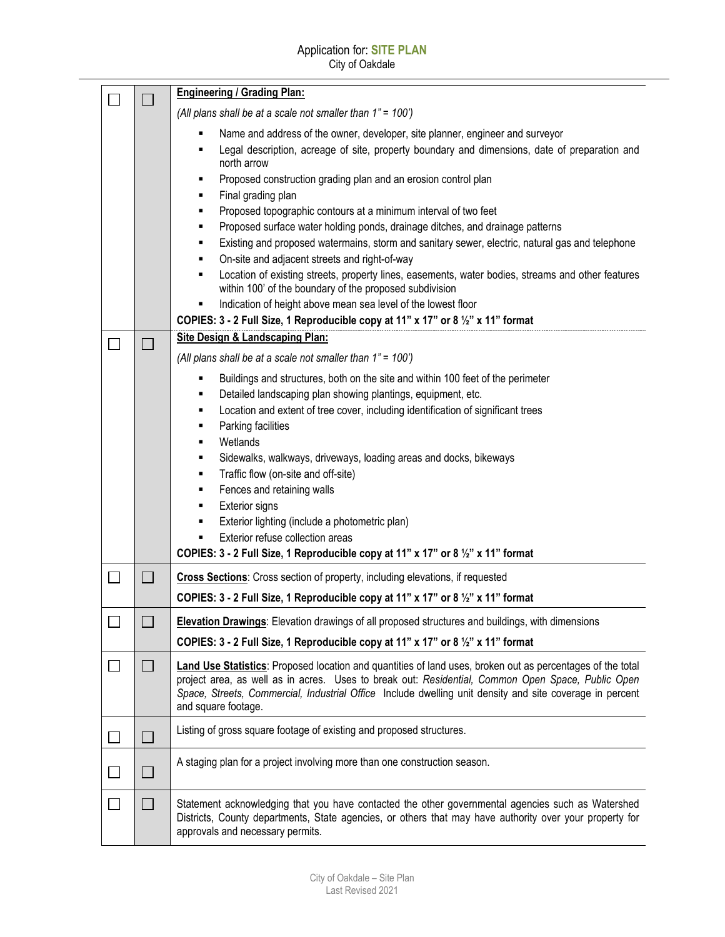|        |                          | <b>Engineering / Grading Plan:</b>                                                                                                                                                                                                                                                                                                                 |
|--------|--------------------------|----------------------------------------------------------------------------------------------------------------------------------------------------------------------------------------------------------------------------------------------------------------------------------------------------------------------------------------------------|
|        |                          | (All plans shall be at a scale not smaller than 1" = 100')                                                                                                                                                                                                                                                                                         |
|        |                          | Name and address of the owner, developer, site planner, engineer and surveyor<br>٠<br>Legal description, acreage of site, property boundary and dimensions, date of preparation and<br>٠<br>north arrow                                                                                                                                            |
|        |                          | Proposed construction grading plan and an erosion control plan<br>٠                                                                                                                                                                                                                                                                                |
|        |                          | Final grading plan<br>٠<br>Proposed topographic contours at a minimum interval of two feet<br>٠                                                                                                                                                                                                                                                    |
|        |                          | Proposed surface water holding ponds, drainage ditches, and drainage patterns<br>٠                                                                                                                                                                                                                                                                 |
|        |                          | Existing and proposed watermains, storm and sanitary sewer, electric, natural gas and telephone<br>٠                                                                                                                                                                                                                                               |
|        |                          | On-site and adjacent streets and right-of-way<br>٠                                                                                                                                                                                                                                                                                                 |
|        |                          | Location of existing streets, property lines, easements, water bodies, streams and other features<br>٠<br>within 100' of the boundary of the proposed subdivision                                                                                                                                                                                  |
|        |                          | Indication of height above mean sea level of the lowest floor<br>٠                                                                                                                                                                                                                                                                                 |
|        |                          | COPIES: 3 - 2 Full Size, 1 Reproducible copy at 11" x 17" or 8 1/2" x 11" format                                                                                                                                                                                                                                                                   |
| $\Box$ |                          | <b>Site Design &amp; Landscaping Plan:</b>                                                                                                                                                                                                                                                                                                         |
|        |                          | (All plans shall be at a scale not smaller than 1" = 100')                                                                                                                                                                                                                                                                                         |
|        |                          | Buildings and structures, both on the site and within 100 feet of the perimeter<br>٠                                                                                                                                                                                                                                                               |
|        |                          | Detailed landscaping plan showing plantings, equipment, etc.<br>٠                                                                                                                                                                                                                                                                                  |
|        |                          | Location and extent of tree cover, including identification of significant trees<br>٠                                                                                                                                                                                                                                                              |
|        |                          | Parking facilities<br>٠<br>Wetlands<br>٠                                                                                                                                                                                                                                                                                                           |
|        |                          | Sidewalks, walkways, driveways, loading areas and docks, bikeways<br>٠                                                                                                                                                                                                                                                                             |
|        |                          | Traffic flow (on-site and off-site)<br>٠                                                                                                                                                                                                                                                                                                           |
|        |                          | Fences and retaining walls<br>٠                                                                                                                                                                                                                                                                                                                    |
|        |                          | <b>Exterior signs</b><br>٠                                                                                                                                                                                                                                                                                                                         |
|        |                          | Exterior lighting (include a photometric plan)<br>٠                                                                                                                                                                                                                                                                                                |
|        |                          | Exterior refuse collection areas<br>$\blacksquare$                                                                                                                                                                                                                                                                                                 |
|        |                          | COPIES: 3 - 2 Full Size, 1 Reproducible copy at 11" x 17" or 8 1/2" x 11" format                                                                                                                                                                                                                                                                   |
| $\Box$ | $\Box$                   | Cross Sections: Cross section of property, including elevations, if requested                                                                                                                                                                                                                                                                      |
|        |                          | COPIES: 3 - 2 Full Size, 1 Reproducible copy at 11" x 17" or 8 1/2" x 11" format                                                                                                                                                                                                                                                                   |
|        |                          | Elevation Drawings: Elevation drawings of all proposed structures and buildings, with dimensions                                                                                                                                                                                                                                                   |
|        |                          | COPIES: 3 - 2 Full Size, 1 Reproducible copy at 11" x 17" or 8 1/2" x 11" format                                                                                                                                                                                                                                                                   |
|        | $\mathbf{I}$             | Land Use Statistics: Proposed location and quantities of land uses, broken out as percentages of the total<br>project area, as well as in acres. Uses to break out: Residential, Common Open Space, Public Open<br>Space, Streets, Commercial, Industrial Office Include dwelling unit density and site coverage in percent<br>and square footage. |
|        | $\Box$                   | Listing of gross square footage of existing and proposed structures.                                                                                                                                                                                                                                                                               |
|        | $\overline{\phantom{a}}$ | A staging plan for a project involving more than one construction season.                                                                                                                                                                                                                                                                          |
|        |                          | Statement acknowledging that you have contacted the other governmental agencies such as Watershed<br>Districts, County departments, State agencies, or others that may have authority over your property for<br>approvals and necessary permits.                                                                                                   |